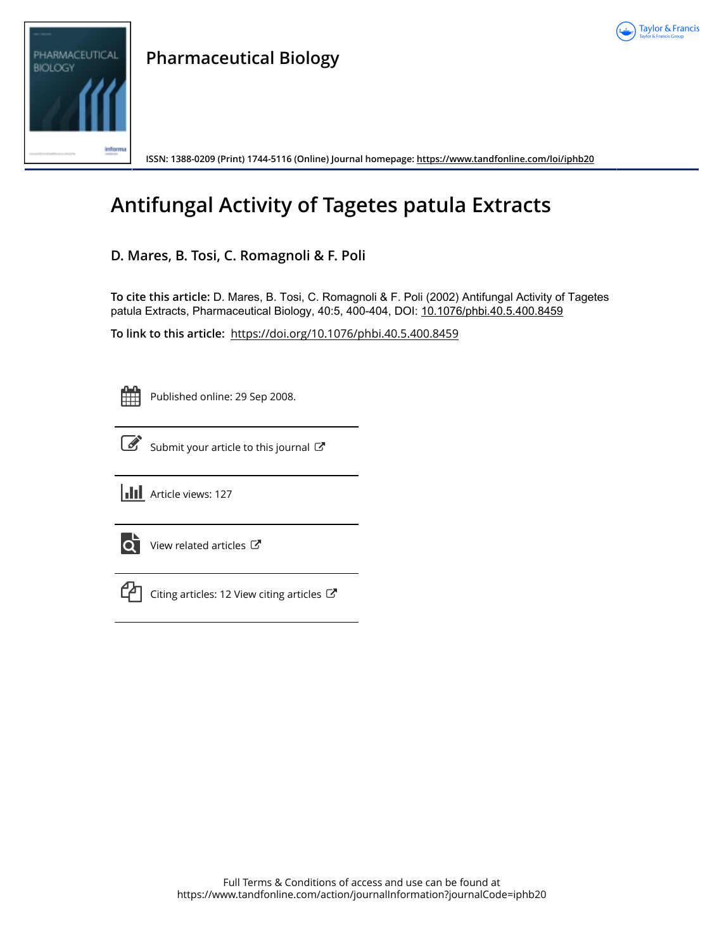



**ISSN: 1388-0209 (Print) 1744-5116 (Online) Journal homepage:<https://www.tandfonline.com/loi/iphb20>**

# **Antifungal Activity of Tagetes patula Extracts**

### **D. Mares, B. Tosi, C. Romagnoli & F. Poli**

**To cite this article:** D. Mares, B. Tosi, C. Romagnoli & F. Poli (2002) Antifungal Activity of Tagetes patula Extracts, Pharmaceutical Biology, 40:5, 400-404, DOI: [10.1076/phbi.40.5.400.8459](https://www.tandfonline.com/action/showCitFormats?doi=10.1076/phbi.40.5.400.8459)

**To link to this article:** <https://doi.org/10.1076/phbi.40.5.400.8459>

Published online: 29 Sep 2008.



[Submit your article to this journal](https://www.tandfonline.com/action/authorSubmission?journalCode=iphb20&show=instructions)  $\mathbb{Z}$ 





 $\overrightarrow{Q}$  [View related articles](https://www.tandfonline.com/doi/mlt/10.1076/phbi.40.5.400.8459)  $\overrightarrow{C}$ 



 $\Box$  [Citing articles: 12 View citing articles](https://www.tandfonline.com/doi/citedby/10.1076/phbi.40.5.400.8459#tabModule)  $\Box$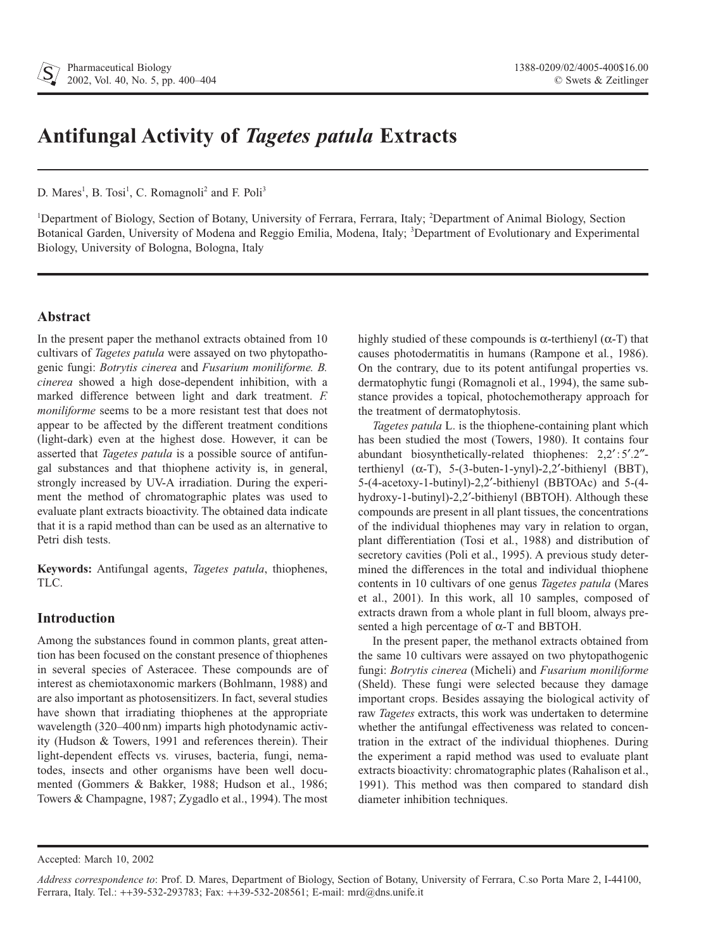## **Antifungal Activity of** *Tagetes patula* **Extracts**

D. Mares<sup>1</sup>, B. Tosi<sup>1</sup>, C. Romagnoli<sup>2</sup> and F. Poli<sup>3</sup>

<sup>1</sup>Department of Biology, Section of Botany, University of Ferrara, Ferrara, Italy; <sup>2</sup>Department of Animal Biology, Section Botanical Garden, University of Modena and Reggio Emilia, Modena, Italy; <sup>3</sup>Department of Evolutionary and Experimental Biology, University of Bologna, Bologna, Italy

#### **Abstract**

In the present paper the methanol extracts obtained from 10 cultivars of *Tagetes patula* were assayed on two phytopathogenic fungi: *Botrytis cinerea* and *Fusarium moniliforme. B. cinerea* showed a high dose-dependent inhibition, with a marked difference between light and dark treatment. *F. moniliforme* seems to be a more resistant test that does not appear to be affected by the different treatment conditions (light-dark) even at the highest dose. However, it can be asserted that *Tagetes patula* is a possible source of antifungal substances and that thiophene activity is, in general, strongly increased by UV-A irradiation. During the experiment the method of chromatographic plates was used to evaluate plant extracts bioactivity. The obtained data indicate that it is a rapid method than can be used as an alternative to Petri dish tests.

**Keywords:** Antifungal agents, *Tagetes patula*, thiophenes, TLC.

#### **Introduction**

Among the substances found in common plants, great attention has been focused on the constant presence of thiophenes in several species of Asteracee. These compounds are of interest as chemiotaxonomic markers (Bohlmann, 1988) and are also important as photosensitizers. In fact, several studies have shown that irradiating thiophenes at the appropriate wavelength (320–400 nm) imparts high photodynamic activity (Hudson & Towers, 1991 and references therein). Their light-dependent effects vs. viruses, bacteria, fungi, nematodes, insects and other organisms have been well documented (Gommers & Bakker, 1988; Hudson et al., 1986; Towers & Champagne, 1987; Zygadlo et al., 1994). The most

highly studied of these compounds is  $\alpha$ -terthienyl ( $\alpha$ -T) that causes photodermatitis in humans (Rampone et al*.*, 1986). On the contrary, due to its potent antifungal properties vs. dermatophytic fungi (Romagnoli et al., 1994), the same substance provides a topical, photochemotherapy approach for the treatment of dermatophytosis.

*Tagetes patula* L. is the thiophene-containing plant which has been studied the most (Towers, 1980). It contains four abundant biosynthetically-related thiophenes:  $2,2$ <sup>'</sup>:5'.2"terthienyl  $(\alpha-T)$ , 5-(3-buten-1-ynyl)-2,2'-bithienyl (BBT), 5-(4-acetoxy-1-butinyl)-2,2'-bithienyl (BBTOAc) and 5-(4hydroxy-1-butinyl)-2,2'-bithienyl (BBTOH). Although these compounds are present in all plant tissues, the concentrations of the individual thiophenes may vary in relation to organ, plant differentiation (Tosi et al*.*, 1988) and distribution of secretory cavities (Poli et al., 1995). A previous study determined the differences in the total and individual thiophene contents in 10 cultivars of one genus *Tagetes patula* (Mares et al., 2001). In this work, all 10 samples, composed of extracts drawn from a whole plant in full bloom, always presented a high percentage of  $\alpha$ -T and BBTOH.

In the present paper, the methanol extracts obtained from the same 10 cultivars were assayed on two phytopathogenic fungi: *Botrytis cinerea* (Micheli) and *Fusarium moniliforme* (Sheld). These fungi were selected because they damage important crops. Besides assaying the biological activity of raw *Tagetes* extracts, this work was undertaken to determine whether the antifungal effectiveness was related to concentration in the extract of the individual thiophenes. During the experiment a rapid method was used to evaluate plant extracts bioactivity: chromatographic plates (Rahalison et al., 1991). This method was then compared to standard dish diameter inhibition techniques.

Accepted: March 10, 2002

*Address correspondence to*: Prof. D. Mares, Department of Biology, Section of Botany, University of Ferrara, C.so Porta Mare 2, I-44100, Ferrara, Italy. Tel.: ++39-532-293783; Fax: ++39-532-208561; E-mail: mrd@dns.unife.it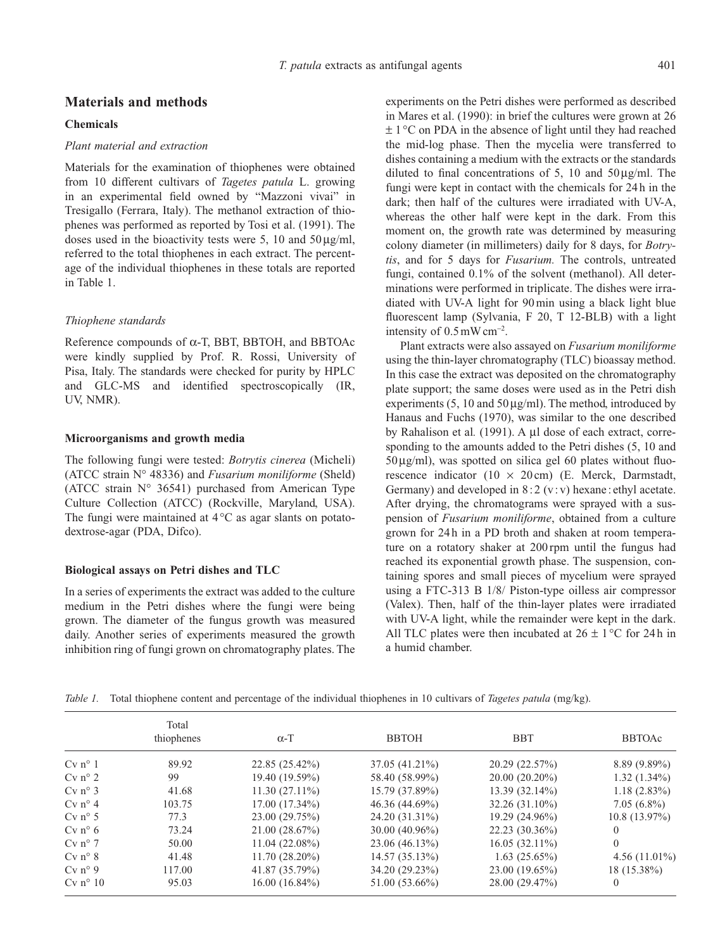#### **Materials and methods**

#### **Chemicals**

#### *Plant material and extraction*

Materials for the examination of thiophenes were obtained from 10 different cultivars of *Tagetes patula* L. growing in an experimental field owned by "Mazzoni vivai" in Tresigallo (Ferrara, Italy). The methanol extraction of thiophenes was performed as reported by Tosi et al. (1991). The doses used in the bioactivity tests were 5, 10 and  $50 \mu g/ml$ , referred to the total thiophenes in each extract. The percentage of the individual thiophenes in these totals are reported in Table 1.

#### *Thiophene standards*

Reference compounds of  $\alpha$ -T, BBT, BBTOH, and BBTOAc were kindly supplied by Prof. R. Rossi, University of Pisa, Italy. The standards were checked for purity by HPLC and GLC-MS and identified spectroscopically (IR, UV, NMR).

#### **Microorganisms and growth media**

The following fungi were tested: *Botrytis cinerea* (Micheli) (ATCC strain N° 48336) and *Fusarium moniliforme* (Sheld) (ATCC strain N° 36541) purchased from American Type Culture Collection (ATCC) (Rockville, Maryland, USA). The fungi were maintained at  $4^{\circ}$ C as agar slants on potatodextrose-agar (PDA, Difco).

#### **Biological assays on Petri dishes and TLC**

In a series of experiments the extract was added to the culture medium in the Petri dishes where the fungi were being grown. The diameter of the fungus growth was measured daily. Another series of experiments measured the growth inhibition ring of fungi grown on chromatography plates. The experiments on the Petri dishes were performed as described in Mares et al. (1990): in brief the cultures were grown at 26  $\pm$  1 °C on PDA in the absence of light until they had reached the mid-log phase. Then the mycelia were transferred to dishes containing a medium with the extracts or the standards diluted to final concentrations of 5, 10 and  $50 \mu\text{g/ml}$ . The fungi were kept in contact with the chemicals for 24 h in the dark; then half of the cultures were irradiated with UV-A, whereas the other half were kept in the dark. From this moment on, the growth rate was determined by measuring colony diameter (in millimeters) daily for 8 days, for *Botrytis*, and for 5 days for *Fusarium.* The controls, untreated fungi, contained 0.1% of the solvent (methanol). All determinations were performed in triplicate. The dishes were irradiated with UV-A light for 90 min using a black light blue fluorescent lamp (Sylvania, F 20, T 12-BLB) with a light intensity of  $0.5 \text{ mW cm}^{-2}$ .

Plant extracts were also assayed on *Fusarium moniliforme* using the thin-layer chromatography (TLC) bioassay method. In this case the extract was deposited on the chromatography plate support; the same doses were used as in the Petri dish experiments (5, 10 and  $50 \mu g/ml$ ). The method, introduced by Hanaus and Fuchs (1970), was similar to the one described by Rahalison et al. (1991). A µl dose of each extract, corresponding to the amounts added to the Petri dishes (5, 10 and  $50 \mu g/ml$ ), was spotted on silica gel 60 plates without fluorescence indicator (10  $\times$  20 cm) (E. Merck, Darmstadt, Germany) and developed in  $8:2$  (v:v) hexane: ethyl acetate. After drying, the chromatograms were sprayed with a suspension of *Fusarium moniliforme*, obtained from a culture grown for 24 h in a PD broth and shaken at room temperature on a rotatory shaker at 200 rpm until the fungus had reached its exponential growth phase. The suspension, containing spores and small pieces of mycelium were sprayed using a FTC-313 B 1/8/ Piston-type oilless air compressor (Valex). Then, half of the thin-layer plates were irradiated with UV-A light, while the remainder were kept in the dark. All TLC plates were then incubated at  $26 \pm 1$  °C for 24h in a humid chamber.

*Table 1.* Total thiophene content and percentage of the individual thiophenes in 10 cultivars of *Tagetes patula* (mg/kg).

|                  | Total<br>thiophenes | $\alpha$ -T      | <b>BBTOH</b>     | <b>BBT</b>       | <b>BBTOAc</b>    |
|------------------|---------------------|------------------|------------------|------------------|------------------|
| $Cv n^{\circ} 1$ | 89.92               | 22.85 (25.42%)   | 37.05 (41.21%)   | 20.29 (22.57%)   | $8.89(9.89\%)$   |
| $Cv n^{\circ} 2$ | 99                  | 19.40 (19.59%)   | 58.40 (58.99%)   | $20.00(20.20\%)$ | $1.32(1.34\%)$   |
| $Cv n^{\circ} 3$ | 41.68               | $11.30(27.11\%)$ | 15.79 (37.89%)   | $13.39(32.14\%)$ | $1.18(2.83\%)$   |
| $Cv n^{\circ} 4$ | 103.75              | $17.00(17.34\%)$ | 46.36 (44.69%)   | 32.26 (31.10%)   | $7.05(6.8\%)$    |
| $Cv n^{\circ} 5$ | 77.3                | 23.00 (29.75%)   | 24.20 (31.31%)   | 19.29 (24.96%)   | $10.8(13.97\%)$  |
| $Cv n^{\circ} 6$ | 73.24               | 21.00(28.67%)    | $30.00(40.96\%)$ | 22.23 (30.36%)   | $\theta$         |
| $Cv n^{\circ} 7$ | 50.00               | $11.04(22.08\%)$ | 23.06 (46.13%)   | $16.05(32.11\%)$ | $\overline{0}$   |
| $Cv n^{\circ} 8$ | 41.48               | $11.70(28.20\%)$ | 14.57(35.13%)    | 1.63(25.65%)     | 4.56 $(11.01\%)$ |
| $Cv n^{\circ} 9$ | 117.00              | 41.87 (35.79%)   | 34.20 (29.23%)   | 23.00 (19.65%)   | 18 (15.38%)      |
| $Cv$ n° 10       | 95.03               | 16.00(16.84%)    | 51.00 (53.66%)   | 28.00 (29.47%)   | $\theta$         |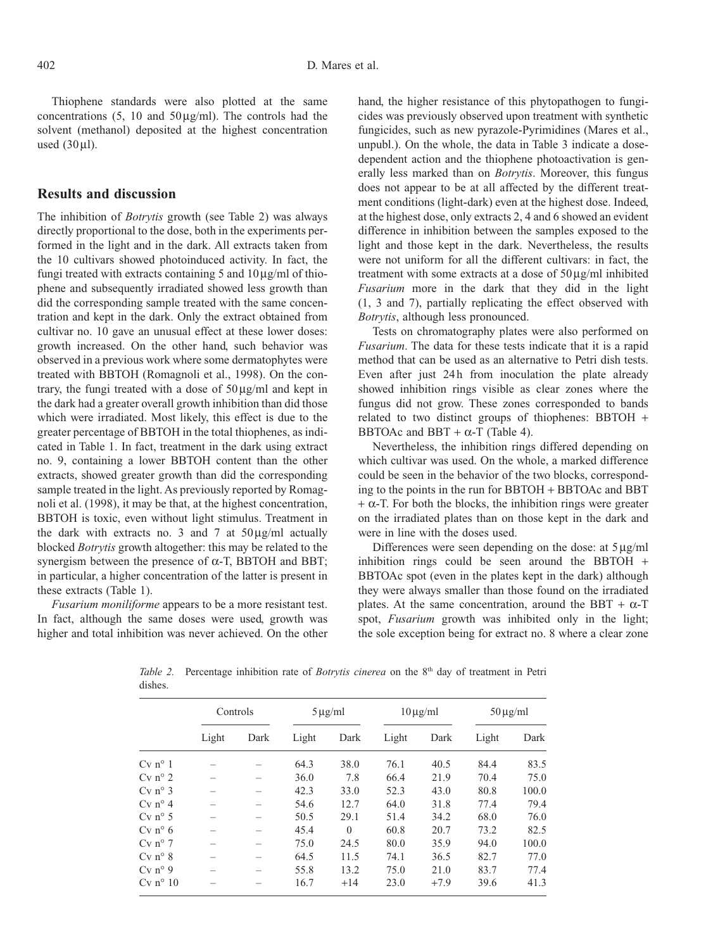Thiophene standards were also plotted at the same concentrations  $(5, 10 \text{ and } 50 \text{ kg/ml})$ . The controls had the solvent (methanol) deposited at the highest concentration used  $(30$ ul).

#### **Results and discussion**

The inhibition of *Botrytis* growth (see Table 2) was always directly proportional to the dose, both in the experiments performed in the light and in the dark. All extracts taken from the 10 cultivars showed photoinduced activity. In fact, the fungi treated with extracts containing 5 and  $10 \mu g/ml$  of thiophene and subsequently irradiated showed less growth than did the corresponding sample treated with the same concentration and kept in the dark. Only the extract obtained from cultivar no. 10 gave an unusual effect at these lower doses: growth increased. On the other hand, such behavior was observed in a previous work where some dermatophytes were treated with BBTOH (Romagnoli et al., 1998). On the contrary, the fungi treated with a dose of  $50 \mu g/ml$  and kept in the dark had a greater overall growth inhibition than did those which were irradiated. Most likely, this effect is due to the greater percentage of BBTOH in the total thiophenes, as indicated in Table 1. In fact, treatment in the dark using extract no. 9, containing a lower BBTOH content than the other extracts, showed greater growth than did the corresponding sample treated in the light. As previously reported by Romagnoli et al. (1998), it may be that, at the highest concentration, BBTOH is toxic, even without light stimulus. Treatment in the dark with extracts no. 3 and 7 at  $50 \mu g/ml$  actually blocked *Botrytis* growth altogether: this may be related to the synergism between the presence of  $\alpha$ -T, BBTOH and BBT; in particular, a higher concentration of the latter is present in these extracts (Table 1).

*Fusarium moniliforme* appears to be a more resistant test. In fact, although the same doses were used, growth was higher and total inhibition was never achieved. On the other hand, the higher resistance of this phytopathogen to fungicides was previously observed upon treatment with synthetic fungicides, such as new pyrazole-Pyrimidines (Mares et al., unpubl.). On the whole, the data in Table 3 indicate a dosedependent action and the thiophene photoactivation is generally less marked than on *Botrytis*. Moreover, this fungus does not appear to be at all affected by the different treatment conditions (light-dark) even at the highest dose. Indeed, at the highest dose, only extracts 2, 4 and 6 showed an evident difference in inhibition between the samples exposed to the light and those kept in the dark. Nevertheless, the results were not uniform for all the different cultivars: in fact, the treatment with some extracts at a dose of  $50 \mu g/ml$  inhibited *Fusarium* more in the dark that they did in the light (1, 3 and 7), partially replicating the effect observed with *Botrytis*, although less pronounced.

Tests on chromatography plates were also performed on *Fusarium*. The data for these tests indicate that it is a rapid method that can be used as an alternative to Petri dish tests. Even after just 24h from inoculation the plate already showed inhibition rings visible as clear zones where the fungus did not grow. These zones corresponded to bands related to two distinct groups of thiophenes: BBTOH + BBTOAc and BBT +  $\alpha$ -T (Table 4).

Nevertheless, the inhibition rings differed depending on which cultivar was used. On the whole, a marked difference could be seen in the behavior of the two blocks, corresponding to the points in the run for BBTOH + BBTOAc and BBT  $+ \alpha$ -T. For both the blocks, the inhibition rings were greater on the irradiated plates than on those kept in the dark and were in line with the doses used.

Differences were seen depending on the dose: at  $5 \mu g/ml$ inhibition rings could be seen around the BBTOH + BBTOAc spot (even in the plates kept in the dark) although they were always smaller than those found on the irradiated plates. At the same concentration, around the BBT +  $\alpha$ -T spot, *Fusarium* growth was inhibited only in the light; the sole exception being for extract no. 8 where a clear zone

|                  | Controls |      | $5 \mu g/ml$ |          | $10 \mu g/ml$ |        | $50 \mu g/ml$ |       |
|------------------|----------|------|--------------|----------|---------------|--------|---------------|-------|
|                  | Light    | Dark | Light        | Dark     | Light         | Dark   | Light         | Dark  |
| $Cv n^{\circ} 1$ |          |      | 64.3         | 38.0     | 76.1          | 40.5   | 84.4          | 83.5  |
| $Cv$ n° 2        |          |      | 36.0         | 7.8      | 66.4          | 21.9   | 70.4          | 75.0  |
| $Cv n^{\circ} 3$ |          |      | 42.3         | 33.0     | 52.3          | 43.0   | 80.8          | 100.0 |
| $Cv n^{\circ} 4$ |          |      | 54.6         | 12.7     | 64.0          | 31.8   | 77.4          | 79.4  |
| $Cv n^{\circ} 5$ |          |      | 50.5         | 29.1     | 51.4          | 34.2   | 68.0          | 76.0  |
| $Cv n^{\circ} 6$ |          |      | 45.4         | $\theta$ | 60.8          | 20.7   | 73.2          | 82.5  |
| $Cv$ n° 7        |          |      | 75.0         | 24.5     | 80.0          | 35.9   | 94.0          | 100.0 |
| $Cv n^{\circ} 8$ |          |      | 64.5         | 11.5     | 74.1          | 36.5   | 82.7          | 77.0  |
| $Cv n^{\circ} 9$ |          |      | 55.8         | 13.2     | 75.0          | 21.0   | 83.7          | 77.4  |
| $Cv$ n° 10       |          |      | 16.7         | $+14$    | 23.0          | $+7.9$ | 39.6          | 41.3  |

*Table 2.* Percentage inhibition rate of *Botrytis cinerea* on the 8<sup>th</sup> day of treatment in Petri dishes.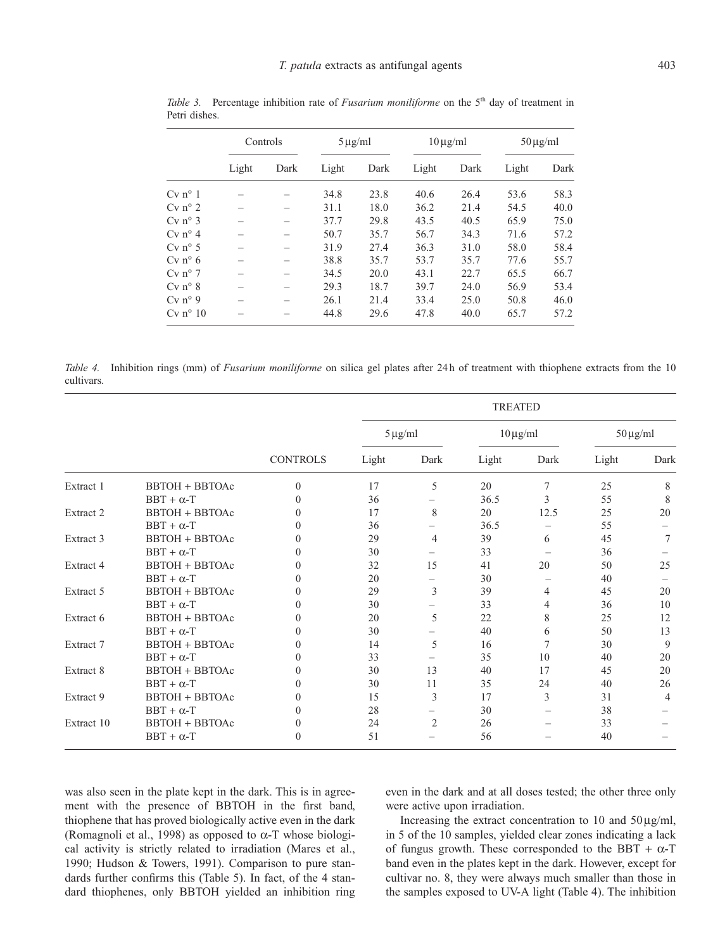|                       | Controls |      | $5 \mu g/ml$ |      | $10 \mu g/ml$ |      | $50 \mu g/ml$ |      |
|-----------------------|----------|------|--------------|------|---------------|------|---------------|------|
|                       | Light    | Dark | Light        | Dark | Light         | Dark | Light         | Dark |
| $Cv$ n <sup>o</sup> 1 |          |      | 34.8         | 23.8 | 40.6          | 26.4 | 53.6          | 58.3 |
| $Cv$ n° 2             |          |      | 31.1         | 18.0 | 36.2          | 21.4 | 54.5          | 40.0 |
| $Cv$ n° 3             |          |      | 37.7         | 29.8 | 43.5          | 40.5 | 65.9          | 75.0 |
| $Cv n^{\circ} 4$      |          |      | 50.7         | 35.7 | 56.7          | 34.3 | 71.6          | 57.2 |
| $Cv n^{\circ} 5$      |          |      | 31.9         | 27.4 | 36.3          | 31.0 | 58.0          | 58.4 |
| $Cv n^{\circ} 6$      |          |      | 38.8         | 35.7 | 53.7          | 35.7 | 77.6          | 55.7 |
| $Cv$ n° 7             |          |      | 34.5         | 20.0 | 43.1          | 22.7 | 65.5          | 66.7 |
| $Cv$ n° 8             |          |      | 29.3         | 18.7 | 39.7          | 24.0 | 56.9          | 53.4 |
| $Cv n^{\circ} 9$      |          |      | 26.1         | 21.4 | 33.4          | 25.0 | 50.8          | 46.0 |
| $Cv$ n° 10            |          |      | 44.8         | 29.6 | 47.8          | 40.0 | 65.7          | 57.2 |

*Table 3.* Percentage inhibition rate of *Fusarium moniliforme* on the 5<sup>th</sup> day of treatment in Petri dishes.

*Table 4.* Inhibition rings (mm) of *Fusarium moniliforme* on silica gel plates after 24 h of treatment with thiophene extracts from the 10 cultivars.

|            |                       |                 | <b>TREATED</b> |                |       |                          |       |                          |  |
|------------|-----------------------|-----------------|----------------|----------------|-------|--------------------------|-------|--------------------------|--|
|            |                       | <b>CONTROLS</b> | $5 \mu g/ml$   |                |       | $10 \,\mu\text{g/ml}$    |       | $50 \,\mathrm{\mu g/ml}$ |  |
|            |                       |                 | Light          | Dark           | Light | Dark                     | Light | Dark                     |  |
| Extract 1  | <b>BBTOH + BBTOAc</b> | $\mathbf{0}$    | 17             | 5              | 20    | 7                        | 25    | 8                        |  |
|            | $BBT + \alpha-T$      | $\Omega$        | 36             |                | 36.5  | 3                        | 55    | 8                        |  |
| Extract 2  | <b>BBTOH + BBTOAc</b> | $\Omega$        | 17             | 8              | 20    | 12.5                     | 25    | 20                       |  |
|            | $BBT + \alpha-T$      | $\theta$        | 36             | Ξ.             | 36.5  | $\overline{\phantom{0}}$ | 55    |                          |  |
| Extract 3  | <b>BBTOH + BBTOAc</b> | $\theta$        | 29             | 4              | 39    | 6                        | 45    | 7                        |  |
|            | $BBT + \alpha-T$      | $\Omega$        | 30             |                | 33    |                          | 36    |                          |  |
| Extract 4  | <b>BBTOH + BBTOAc</b> | $\Omega$        | 32             | 15             | 41    | 20                       | 50    | 25                       |  |
|            | $BBT + \alpha-T$      | $\theta$        | 20             |                | 30    | $\overline{\phantom{0}}$ | 40    |                          |  |
| Extract 5  | <b>BBTOH + BBTOAc</b> | $\theta$        | 29             | 3              | 39    | 4                        | 45    | 20                       |  |
|            | $BBT + \alpha-T$      | $\Omega$        | 30             |                | 33    | 4                        | 36    | 10                       |  |
| Extract 6  | <b>BBTOH + BBTOAc</b> | $\theta$        | 20             | 5              | 22    | 8                        | 25    | 12                       |  |
|            | $BBT + \alpha-T$      | $\Omega$        | 30             |                | 40    | 6                        | 50    | 13                       |  |
| Extract 7  | <b>BBTOH + BBTOAc</b> | $\theta$        | 14             | 5              | 16    | 7                        | 30    | 9                        |  |
|            | $BBT + \alpha-T$      | $\theta$        | 33             |                | 35    | 10                       | 40    | 20                       |  |
| Extract 8  | <b>BBTOH + BBTOAc</b> | $\Omega$        | 30             | 13             | 40    | 17                       | 45    | 20                       |  |
|            | $BBT + \alpha-T$      | $\theta$        | 30             | 11             | 35    | 24                       | 40    | 26                       |  |
| Extract 9  | <b>BBTOH + BBTOAc</b> | $\mathbf{0}$    | 15             | 3              | 17    | 3                        | 31    | $\overline{4}$           |  |
|            | $BBT + \alpha-T$      | $\Omega$        | 28             |                | 30    | $\overline{\phantom{0}}$ | 38    |                          |  |
| Extract 10 | <b>BBTOH + BBTOAc</b> | $\mathbf{0}$    | 24             | $\overline{2}$ | 26    |                          | 33    |                          |  |
|            | $BBT + \alpha-T$      | $\theta$        | 51             |                | 56    |                          | 40    |                          |  |

was also seen in the plate kept in the dark. This is in agreement with the presence of BBTOH in the first band, thiophene that has proved biologically active even in the dark (Romagnoli et al., 1998) as opposed to  $\alpha$ -T whose biological activity is strictly related to irradiation (Mares et al., 1990; Hudson & Towers, 1991). Comparison to pure standards further confirms this (Table 5). In fact, of the 4 standard thiophenes, only BBTOH yielded an inhibition ring even in the dark and at all doses tested; the other three only were active upon irradiation.

Increasing the extract concentration to 10 and  $50 \mu g/ml$ , in 5 of the 10 samples, yielded clear zones indicating a lack of fungus growth. These corresponded to the BBT +  $\alpha$ -T band even in the plates kept in the dark. However, except for cultivar no. 8, they were always much smaller than those in the samples exposed to UV-A light (Table 4). The inhibition